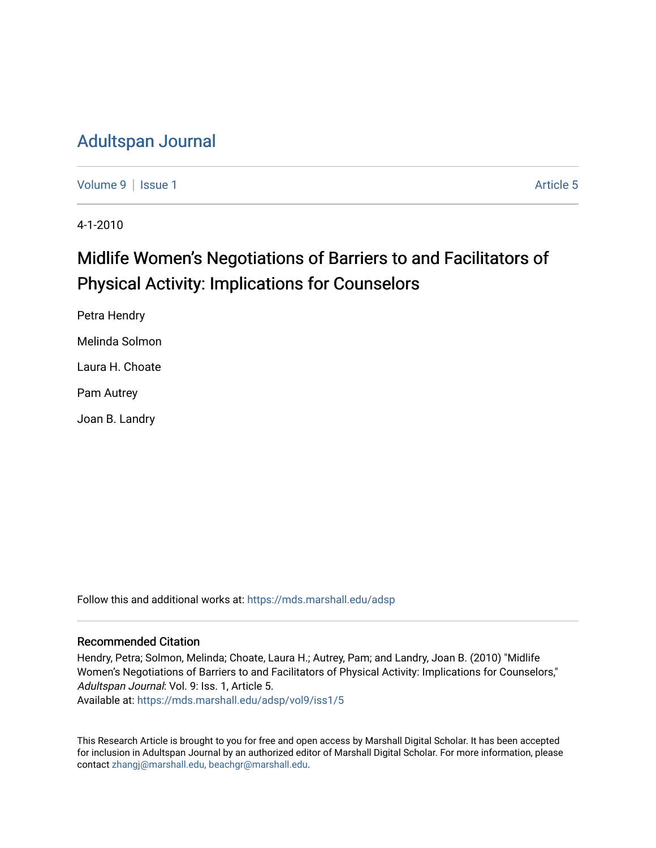## [Adultspan Journal](https://mds.marshall.edu/adsp)

[Volume 9](https://mds.marshall.edu/adsp/vol9) | [Issue 1](https://mds.marshall.edu/adsp/vol9/iss1) Article 5

4-1-2010

# Midlife Women's Negotiations of Barriers to and Facilitators of Physical Activity: Implications for Counselors

Petra Hendry Melinda Solmon Laura H. Choate Pam Autrey Joan B. Landry

Follow this and additional works at: [https://mds.marshall.edu/adsp](https://mds.marshall.edu/adsp?utm_source=mds.marshall.edu%2Fadsp%2Fvol9%2Fiss1%2F5&utm_medium=PDF&utm_campaign=PDFCoverPages) 

## Recommended Citation

Hendry, Petra; Solmon, Melinda; Choate, Laura H.; Autrey, Pam; and Landry, Joan B. (2010) "Midlife Women's Negotiations of Barriers to and Facilitators of Physical Activity: Implications for Counselors," Adultspan Journal: Vol. 9: Iss. 1, Article 5.

Available at: [https://mds.marshall.edu/adsp/vol9/iss1/5](https://mds.marshall.edu/adsp/vol9/iss1/5?utm_source=mds.marshall.edu%2Fadsp%2Fvol9%2Fiss1%2F5&utm_medium=PDF&utm_campaign=PDFCoverPages)

This Research Article is brought to you for free and open access by Marshall Digital Scholar. It has been accepted for inclusion in Adultspan Journal by an authorized editor of Marshall Digital Scholar. For more information, please contact [zhangj@marshall.edu, beachgr@marshall.edu](mailto:zhangj@marshall.edu,%20beachgr@marshall.edu).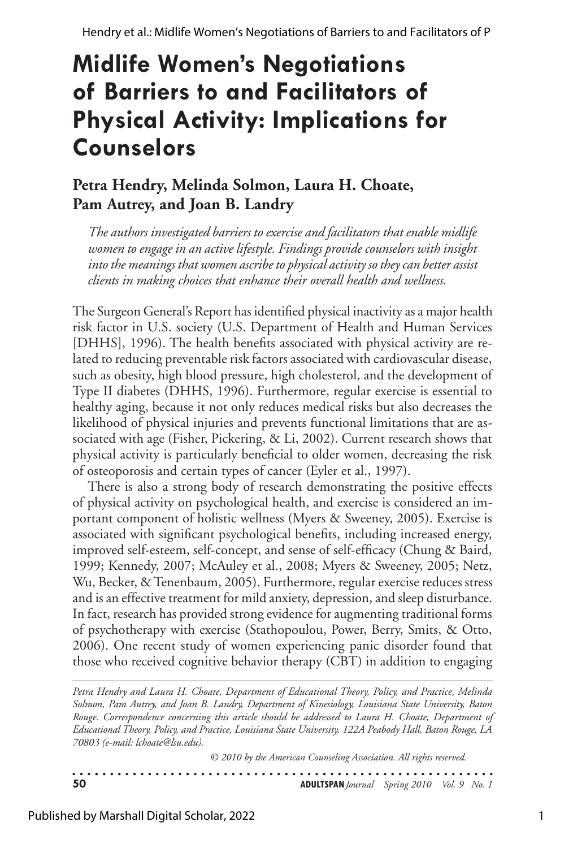# **Midlife Women's Negotiations of Barriers to and Facilitators of Physical Activity: Implications for Counselors**

## **Petra Hendry, Melinda Solmon, Laura H. Choate, Pam Autrey, and Joan B. Landry**

*The authors investigated barriers to exercise and facilitators that enable midlife women to engage in an active lifestyle. Findings provide counselors with insight into the meanings that women ascribe to physical activity so they can better assist clients in making choices that enhance their overall health and wellness.* 

The Surgeon General's Report has identified physical inactivity as a major health risk factor in U.S. society (U.S. Department of Health and Human Services [DHHS], 1996). The health benefits associated with physical activity are related to reducing preventable risk factors associated with cardiovascular disease, such as obesity, high blood pressure, high cholesterol, and the development of Type II diabetes (DHHS, 1996). Furthermore, regular exercise is essential to healthy aging, because it not only reduces medical risks but also decreases the likelihood of physical injuries and prevents functional limitations that are associated with age (Fisher, Pickering, & Li, 2002). Current research shows that physical activity is particularly beneficial to older women, decreasing the risk of osteoporosis and certain types of cancer (Eyler et al., 1997).

There is also a strong body of research demonstrating the positive effects of physical activity on psychological health, and exercise is considered an important component of holistic wellness (Myers & Sweeney, 2005). Exercise is associated with significant psychological benefits, including increased energy, improved self-esteem, self-concept, and sense of self-efficacy (Chung & Baird, 1999; Kennedy, 2007; McAuley et al., 2008; Myers & Sweeney, 2005; Netz, Wu, Becker, & Tenenbaum, 2005). Furthermore, regular exercise reduces stress and is an effective treatment for mild anxiety, depression, and sleep disturbance. In fact, research has provided strong evidence for augmenting traditional forms of psychotherapy with exercise (Stathopoulou, Power, Berry, Smits, & Otto, 2006). One recent study of women experiencing panic disorder found that those who received cognitive behavior therapy (CBT) in addition to engaging

*Petra Hendry and Laura H. Choate, Department of Educational Theory, Policy, and Practice, Melinda Solmon, Pam Autrey, and Joan B. Landry, Department of Kinesiology, Louisiana State University, Baton Rouge. Correspondence concerning this article should be addressed to Laura H. Choate, Department of Educational Theory, Policy, and Practice, Louisiana State University, 122A Peabody Hall, Baton Rouge, LA 70803 (e-mail: lchoate@lsu.edu).* 

*© 2010 by the American Counseling Association. All rights reserved.*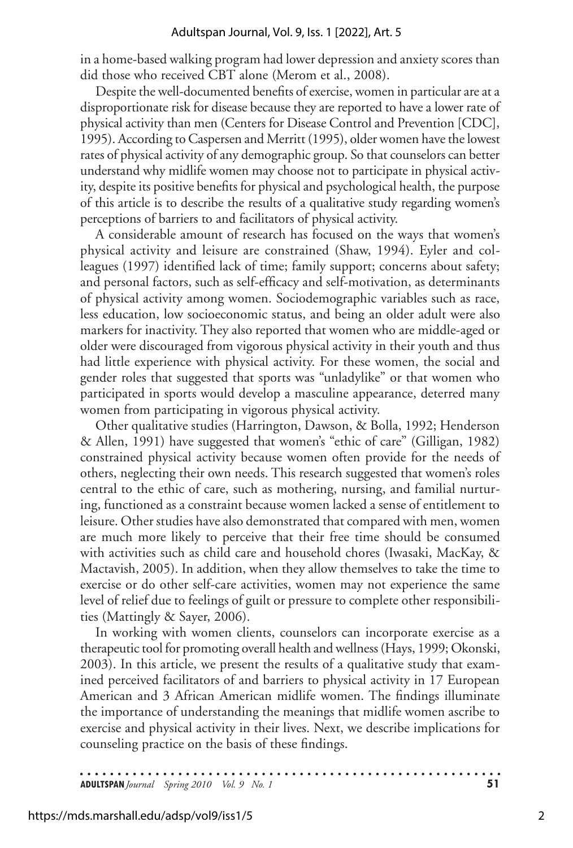in a home-based walking program had lower depression and anxiety scores than did those who received CBT alone (Merom et al., 2008).

Despite the well-documented benefits of exercise, women in particular are at a disproportionate risk for disease because they are reported to have a lower rate of physical activity than men (Centers for Disease Control and Prevention [CDC], 1995). According to Caspersen and Merritt (1995), older women have the lowest rates of physical activity of any demographic group. So that counselors can better understand why midlife women may choose not to participate in physical activity, despite its positive benefits for physical and psychological health, the purpose of this article is to describe the results of a qualitative study regarding women's perceptions of barriers to and facilitators of physical activity.

A considerable amount of research has focused on the ways that women's physical activity and leisure are constrained (Shaw, 1994). Eyler and colleagues (1997) identified lack of time; family support; concerns about safety; and personal factors, such as self-efficacy and self-motivation, as determinants of physical activity among women. Sociodemographic variables such as race, less education, low socioeconomic status, and being an older adult were also markers for inactivity. They also reported that women who are middle-aged or older were discouraged from vigorous physical activity in their youth and thus had little experience with physical activity. For these women, the social and gender roles that suggested that sports was "unladylike" or that women who participated in sports would develop a masculine appearance, deterred many women from participating in vigorous physical activity.

Other qualitative studies (Harrington, Dawson, & Bolla, 1992; Henderson & Allen, 1991) have suggested that women's "ethic of care" (Gilligan, 1982) constrained physical activity because women often provide for the needs of others, neglecting their own needs. This research suggested that women's roles central to the ethic of care, such as mothering, nursing, and familial nurturing, functioned as a constraint because women lacked a sense of entitlement to leisure. Other studies have also demonstrated that compared with men, women are much more likely to perceive that their free time should be consumed with activities such as child care and household chores (Iwasaki, MacKay, & Mactavish, 2005). In addition, when they allow themselves to take the time to exercise or do other self-care activities, women may not experience the same level of relief due to feelings of guilt or pressure to complete other responsibilities (Mattingly & Sayer, 2006).

In working with women clients, counselors can incorporate exercise as a therapeutic tool for promoting overall health and wellness (Hays, 1999; Okonski, 2003). In this article, we present the results of a qualitative study that examined perceived facilitators of and barriers to physical activity in 17 European American and 3 African American midlife women. The findings illuminate the importance of understanding the meanings that midlife women ascribe to exercise and physical activity in their lives. Next, we describe implications for counseling practice on the basis of these findings.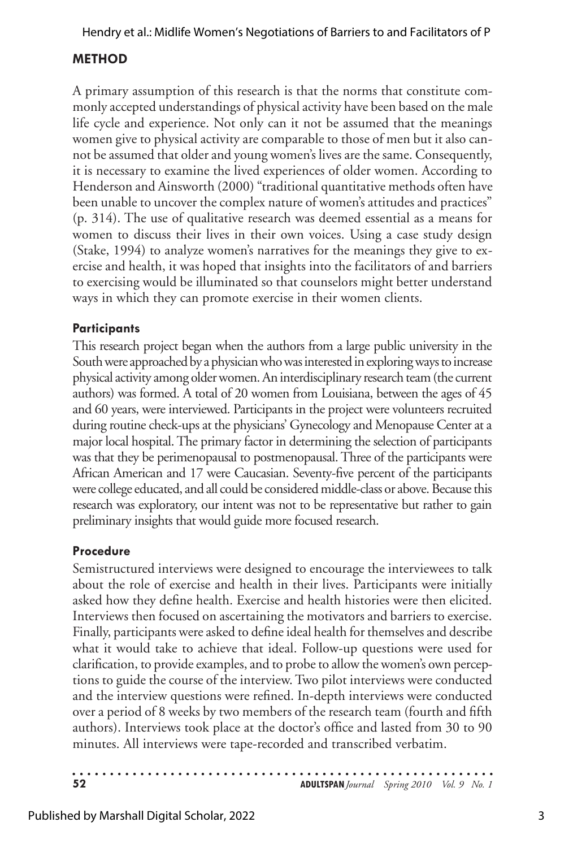## **METHOD**

A primary assumption of this research is that the norms that constitute commonly accepted understandings of physical activity have been based on the male life cycle and experience. Not only can it not be assumed that the meanings women give to physical activity are comparable to those of men but it also cannot be assumed that older and young women's lives are the same. Consequently, it is necessary to examine the lived experiences of older women. According to Henderson and Ainsworth (2000) "traditional quantitative methods often have been unable to uncover the complex nature of women's attitudes and practices" (p. 314). The use of qualitative research was deemed essential as a means for women to discuss their lives in their own voices. Using a case study design (Stake, 1994) to analyze women's narratives for the meanings they give to exercise and health, it was hoped that insights into the facilitators of and barriers to exercising would be illuminated so that counselors might better understand ways in which they can promote exercise in their women clients.

## **Participants**

This research project began when the authors from a large public university in the South were approached by a physician who was interested in exploring ways to increase physical activity among older women. An interdisciplinary research team (the current authors) was formed. A total of 20 women from Louisiana, between the ages of 45 and 60 years, were interviewed. Participants in the project were volunteers recruited during routine check-ups at the physicians' Gynecology and Menopause Center at a major local hospital. The primary factor in determining the selection of participants was that they be perimenopausal to postmenopausal. Three of the participants were African American and 17 were Caucasian. Seventy-five percent of the participants were college educated, and all could be considered middle-class or above. Because this research was exploratory, our intent was not to be representative but rather to gain preliminary insights that would guide more focused research.

## **Procedure**

Semistructured interviews were designed to encourage the interviewees to talk about the role of exercise and health in their lives. Participants were initially asked how they define health. Exercise and health histories were then elicited. Interviews then focused on ascertaining the motivators and barriers to exercise. Finally, participants were asked to define ideal health for themselves and describe what it would take to achieve that ideal. Follow-up questions were used for clarification, to provide examples, and to probe to allow the women's own perceptions to guide the course of the interview. Two pilot interviews were conducted and the interview questions were refined. In-depth interviews were conducted over a period of 8 weeks by two members of the research team (fourth and fifth authors). Interviews took place at the doctor's office and lasted from 30 to 90 minutes. All interviews were tape-recorded and transcribed verbatim.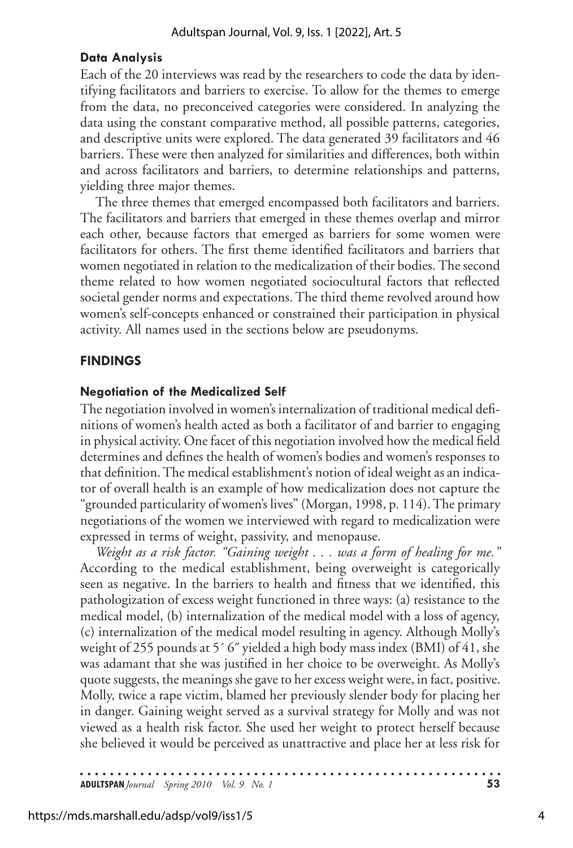## **Data Analysis**

Each of the 20 interviews was read by the researchers to code the data by identifying facilitators and barriers to exercise. To allow for the themes to emerge from the data, no preconceived categories were considered. In analyzing the data using the constant comparative method, all possible patterns, categories, and descriptive units were explored. The data generated 39 facilitators and 46 barriers. These were then analyzed for similarities and differences, both within and across facilitators and barriers, to determine relationships and patterns, yielding three major themes.

The three themes that emerged encompassed both facilitators and barriers. The facilitators and barriers that emerged in these themes overlap and mirror each other, because factors that emerged as barriers for some women were facilitators for others. The first theme identified facilitators and barriers that women negotiated in relation to the medicalization of their bodies*.* The second theme related to how women negotiated sociocultural factors that reflected societal gender norms and expectations. The third theme revolved around how women's self-concepts enhanced or constrained their participation in physical activity. All names used in the sections below are pseudonyms.

## **FINDINGS**

## **Negotiation of the Medicalized Self**

The negotiation involved in women's internalization of traditional medical definitions of women's health acted as both a facilitator of and barrier to engaging in physical activity. One facet of this negotiation involved how the medical field determines and defines the health of women's bodies and women's responses to that definition. The medical establishment's notion of ideal weight as an indicator of overall health is an example of how medicalization does not capture the "grounded particularity of women's lives" (Morgan, 1998, p. 114). The primary negotiations of the women we interviewed with regard to medicalization were expressed in terms of weight, passivity, and menopause.

*Weight as a risk factor. "Gaining weight . . . was a form of healing for me."*  According to the medical establishment, being overweight is categorically seen as negative. In the barriers to health and fitness that we identified, this pathologization of excess weight functioned in three ways: (a) resistance to the medical model, (b) internalization of the medical model with a loss of agency, (c) internalization of the medical model resulting in agency. Although Molly's weight of 255 pounds at 5<sup>'</sup> 6" yielded a high body mass index (BMI) of 41, she was adamant that she was justified in her choice to be overweight. As Molly's quote suggests, the meanings she gave to her excess weight were, in fact, positive. Molly, twice a rape victim, blamed her previously slender body for placing her in danger. Gaining weight served as a survival strategy for Molly and was not viewed as a health risk factor. She used her weight to protect herself because she believed it would be perceived as unattractive and place her at less risk for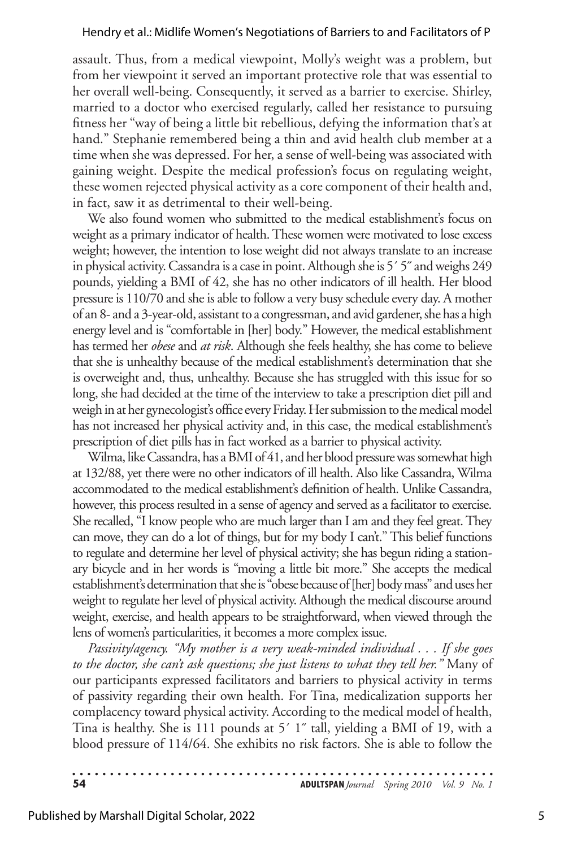assault. Thus, from a medical viewpoint, Molly's weight was a problem, but from her viewpoint it served an important protective role that was essential to her overall well-being. Consequently, it served as a barrier to exercise. Shirley, married to a doctor who exercised regularly, called her resistance to pursuing fitness her "way of being a little bit rebellious, defying the information that's at hand." Stephanie remembered being a thin and avid health club member at a time when she was depressed. For her, a sense of well-being was associated with gaining weight. Despite the medical profession's focus on regulating weight, these women rejected physical activity as a core component of their health and, in fact, saw it as detrimental to their well-being.

We also found women who submitted to the medical establishment's focus on weight as a primary indicator of health. These women were motivated to lose excess weight; however, the intention to lose weight did not always translate to an increase in physical activity. Cassandra is a case in point. Although she is 5´ 5˝ and weighs 249 pounds, yielding a BMI of 42, she has no other indicators of ill health. Her blood pressure is 110/70 and she is able to follow a very busy schedule every day. A mother of an 8- and a 3-year-old, assistant to a congressman, and avid gardener, she has a high energy level and is "comfortable in [her] body." However, the medical establishment has termed her *obese* and *at risk*. Although she feels healthy, she has come to believe that she is unhealthy because of the medical establishment's determination that she is overweight and, thus, unhealthy. Because she has struggled with this issue for so long, she had decided at the time of the interview to take a prescription diet pill and weigh in at her gynecologist's office every Friday. Her submission to the medical model has not increased her physical activity and, in this case, the medical establishment's prescription of diet pills has in fact worked as a barrier to physical activity.

Wilma, like Cassandra, has a BMI of 41, and her blood pressure was somewhat high at 132/88, yet there were no other indicators of ill health. Also like Cassandra, Wilma accommodated to the medical establishment's definition of health. Unlike Cassandra, however, this process resulted in a sense of agency and served as a facilitator to exercise. She recalled, "I know people who are much larger than I am and they feel great. They can move, they can do a lot of things, but for my body I can't." This belief functions to regulate and determine her level of physical activity; she has begun riding a stationary bicycle and in her words is "moving a little bit more." She accepts the medical establishment's determination that she is "obese because of [her] body mass" and uses her weight to regulate her level of physical activity. Although the medical discourse around weight, exercise, and health appears to be straightforward, when viewed through the lens of women's particularities, it becomes a more complex issue.

*Passivity/agency. "My mother is a very weak-minded individual . . . If she goes to the doctor, she can't ask questions; she just listens to what they tell her."* Many of our participants expressed facilitators and barriers to physical activity in terms of passivity regarding their own health. For Tina, medicalization supports her complacency toward physical activity. According to the medical model of health, Tina is healthy. She is 111 pounds at 5´ 1˝ tall, yielding a BMI of 19, with a blood pressure of 114/64. She exhibits no risk factors. She is able to follow the

| -54 | <b>ADULTSPAN</b> Journal Spring 2010 Vol. 9 No. 1 |  |  |
|-----|---------------------------------------------------|--|--|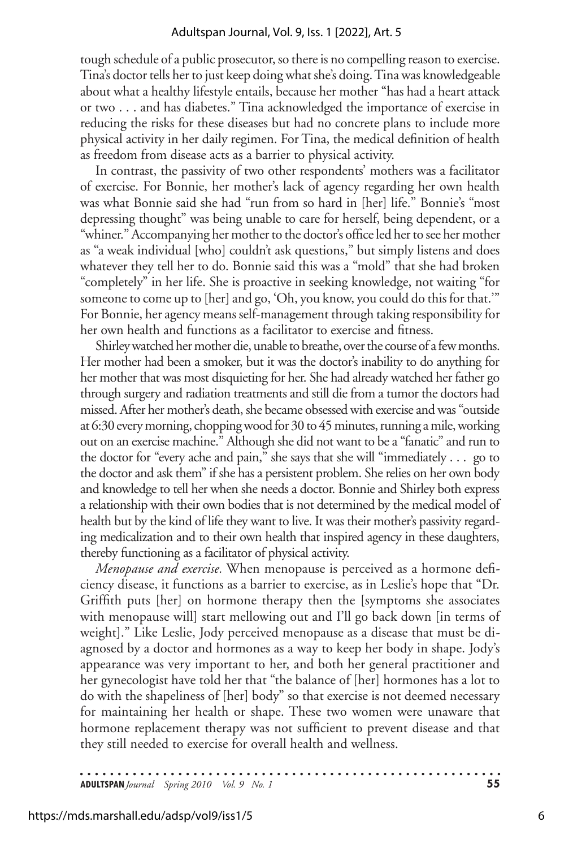tough schedule of a public prosecutor, so there is no compelling reason to exercise. Tina's doctor tells her to just keep doing what she's doing. Tina was knowledgeable about what a healthy lifestyle entails, because her mother "has had a heart attack or two . . . and has diabetes." Tina acknowledged the importance of exercise in reducing the risks for these diseases but had no concrete plans to include more physical activity in her daily regimen. For Tina, the medical definition of health as freedom from disease acts as a barrier to physical activity.

In contrast, the passivity of two other respondents' mothers was a facilitator of exercise. For Bonnie, her mother's lack of agency regarding her own health was what Bonnie said she had "run from so hard in [her] life." Bonnie's "most depressing thought" was being unable to care for herself, being dependent, or a "whiner." Accompanying her mother to the doctor's office led her to see her mother as "a weak individual [who] couldn't ask questions," but simply listens and does whatever they tell her to do. Bonnie said this was a "mold" that she had broken "completely" in her life. She is proactive in seeking knowledge, not waiting "for someone to come up to [her] and go, 'Oh, you know, you could do this for that.'" For Bonnie, her agency means self-management through taking responsibility for her own health and functions as a facilitator to exercise and fitness.

Shirley watched her mother die, unable to breathe, over the course of a few months. Her mother had been a smoker, but it was the doctor's inability to do anything for her mother that was most disquieting for her. She had already watched her father go through surgery and radiation treatments and still die from a tumor the doctors had missed. After her mother's death, she became obsessed with exercise and was "outside at 6:30 every morning, chopping wood for 30 to 45 minutes, running a mile, working out on an exercise machine." Although she did not want to be a "fanatic" and run to the doctor for "every ache and pain," she says that she will "immediately . . . go to the doctor and ask them" if she has a persistent problem. She relies on her own body and knowledge to tell her when she needs a doctor. Bonnie and Shirley both express a relationship with their own bodies that is not determined by the medical model of health but by the kind of life they want to live. It was their mother's passivity regarding medicalization and to their own health that inspired agency in these daughters, thereby functioning as a facilitator of physical activity.

*Menopause and exercise.* When menopause is perceived as a hormone deficiency disease, it functions as a barrier to exercise, as in Leslie's hope that "Dr. Griffith puts [her] on hormone therapy then the [symptoms she associates with menopause will] start mellowing out and I'll go back down [in terms of weight]." Like Leslie, Jody perceived menopause as a disease that must be diagnosed by a doctor and hormones as a way to keep her body in shape. Jody's appearance was very important to her, and both her general practitioner and her gynecologist have told her that "the balance of [her] hormones has a lot to do with the shapeliness of [her] body" so that exercise is not deemed necessary for maintaining her health or shape. These two women were unaware that hormone replacement therapy was not sufficient to prevent disease and that they still needed to exercise for overall health and wellness.

. . . . . . . . . . . **ADULTSPAN***Journal Spring 2010 Vol. 9 No. 1* **55**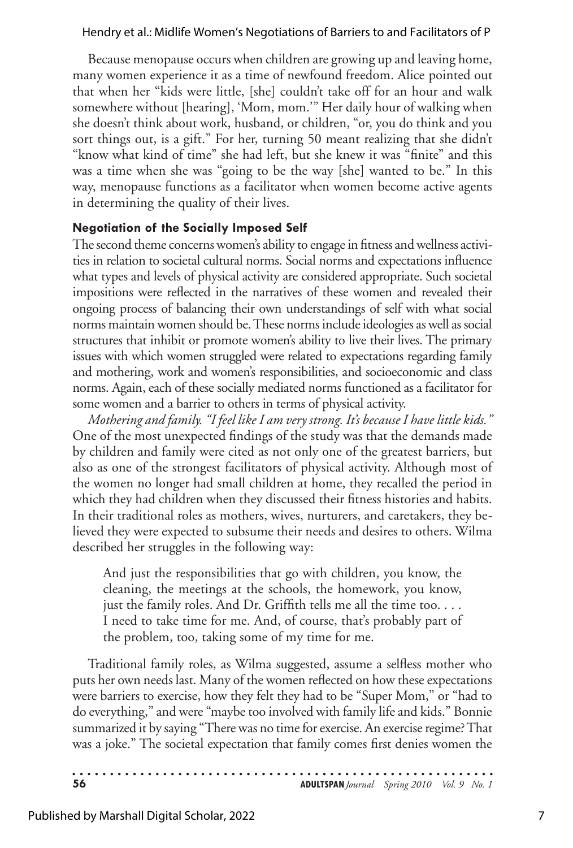Because menopause occurs when children are growing up and leaving home, many women experience it as a time of newfound freedom. Alice pointed out that when her "kids were little, [she] couldn't take off for an hour and walk somewhere without [hearing], 'Mom, mom.'" Her daily hour of walking when she doesn't think about work, husband, or children, "or, you do think and you sort things out, is a gift." For her, turning 50 meant realizing that she didn't "know what kind of time" she had left, but she knew it was "finite" and this was a time when she was "going to be the way [she] wanted to be." In this way, menopause functions as a facilitator when women become active agents in determining the quality of their lives.

## **Negotiation of the Socially Imposed Self**

The second theme concerns women's ability to engage in fitness and wellness activities in relation to societal cultural norms. Social norms and expectations influence what types and levels of physical activity are considered appropriate. Such societal impositions were reflected in the narratives of these women and revealed their ongoing process of balancing their own understandings of self with what social norms maintain women should be. These norms include ideologies as well as social structures that inhibit or promote women's ability to live their lives. The primary issues with which women struggled were related to expectations regarding family and mothering, work and women's responsibilities, and socioeconomic and class norms. Again, each of these socially mediated norms functioned as a facilitator for some women and a barrier to others in terms of physical activity.

*Mothering and family. "I feel like I am very strong. It's because I have little kids."* One of the most unexpected findings of the study was that the demands made by children and family were cited as not only one of the greatest barriers, but also as one of the strongest facilitators of physical activity. Although most of the women no longer had small children at home, they recalled the period in which they had children when they discussed their fitness histories and habits. In their traditional roles as mothers, wives, nurturers, and caretakers, they believed they were expected to subsume their needs and desires to others. Wilma described her struggles in the following way:

And just the responsibilities that go with children, you know, the cleaning, the meetings at the schools, the homework, you know, just the family roles. And Dr. Griffith tells me all the time too. . . . I need to take time for me. And, of course, that's probably part of the problem, too, taking some of my time for me.

Traditional family roles, as Wilma suggested, assume a selfless mother who puts her own needs last. Many of the women reflected on how these expectations were barriers to exercise, how they felt they had to be "Super Mom," or "had to do everything," and were "maybe too involved with family life and kids." Bonnie summarized it by saying "There was no time for exercise. An exercise regime? That was a joke." The societal expectation that family comes first denies women the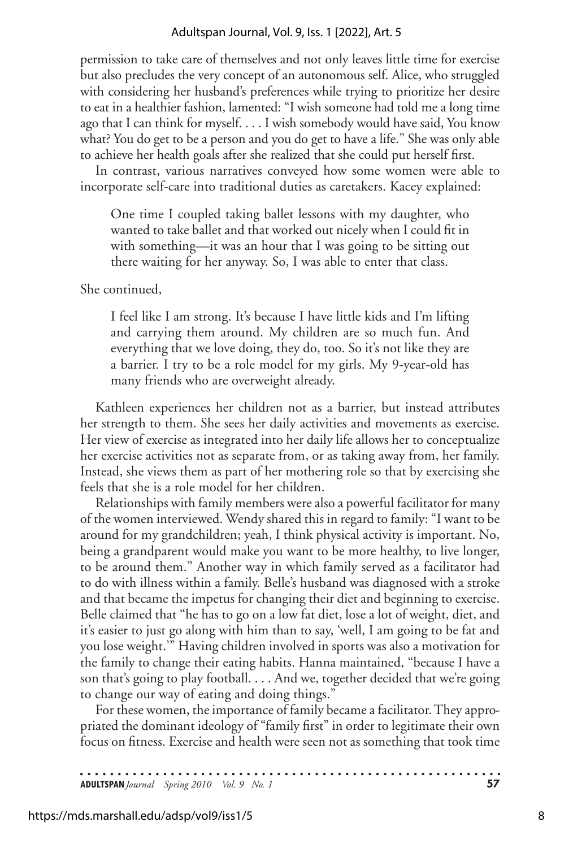permission to take care of themselves and not only leaves little time for exercise but also precludes the very concept of an autonomous self. Alice, who struggled with considering her husband's preferences while trying to prioritize her desire to eat in a healthier fashion, lamented: "I wish someone had told me a long time ago that I can think for myself. . . . I wish somebody would have said, You know what? You do get to be a person and you do get to have a life." She was only able to achieve her health goals after she realized that she could put herself first.

In contrast, various narratives conveyed how some women were able to incorporate self-care into traditional duties as caretakers. Kacey explained:

One time I coupled taking ballet lessons with my daughter, who wanted to take ballet and that worked out nicely when I could fit in with something—it was an hour that I was going to be sitting out there waiting for her anyway. So, I was able to enter that class.

She continued,

I feel like I am strong. It's because I have little kids and I'm lifting and carrying them around. My children are so much fun. And everything that we love doing, they do, too. So it's not like they are a barrier. I try to be a role model for my girls. My 9-year-old has many friends who are overweight already.

Kathleen experiences her children not as a barrier, but instead attributes her strength to them. She sees her daily activities and movements as exercise. Her view of exercise as integrated into her daily life allows her to conceptualize her exercise activities not as separate from, or as taking away from, her family. Instead, she views them as part of her mothering role so that by exercising she feels that she is a role model for her children.

Relationships with family members were also a powerful facilitator for many of the women interviewed. Wendy shared this in regard to family: "I want to be around for my grandchildren; yeah, I think physical activity is important. No, being a grandparent would make you want to be more healthy, to live longer, to be around them." Another way in which family served as a facilitator had to do with illness within a family. Belle's husband was diagnosed with a stroke and that became the impetus for changing their diet and beginning to exercise. Belle claimed that "he has to go on a low fat diet, lose a lot of weight, diet, and it's easier to just go along with him than to say, 'well, I am going to be fat and you lose weight.'" Having children involved in sports was also a motivation for the family to change their eating habits. Hanna maintained, "because I have a son that's going to play football. . . . And we, together decided that we're going to change our way of eating and doing things."

For these women, the importance of family became a facilitator. They appropriated the dominant ideology of "family first" in order to legitimate their own focus on fitness. Exercise and health were seen not as something that took time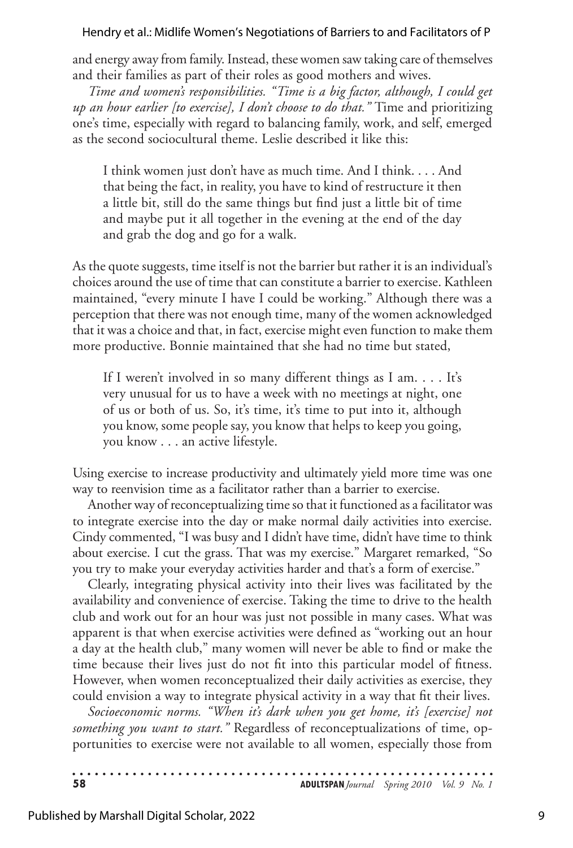and energy away from family. Instead, these women saw taking care of themselves and their families as part of their roles as good mothers and wives.

*Time and women's responsibilities. "Time is a big factor, although, I could get up an hour earlier [to exercise], I don't choose to do that."* Time and prioritizing one's time, especially with regard to balancing family, work, and self, emerged as the second sociocultural theme. Leslie described it like this:

I think women just don't have as much time. And I think. . . . And that being the fact, in reality, you have to kind of restructure it then a little bit, still do the same things but find just a little bit of time and maybe put it all together in the evening at the end of the day and grab the dog and go for a walk.

As the quote suggests, time itself is not the barrier but rather it is an individual's choices around the use of time that can constitute a barrier to exercise. Kathleen maintained, "every minute I have I could be working." Although there was a perception that there was not enough time, many of the women acknowledged that it was a choice and that, in fact, exercise might even function to make them more productive. Bonnie maintained that she had no time but stated,

If I weren't involved in so many different things as I am. . . . It's very unusual for us to have a week with no meetings at night, one of us or both of us. So, it's time, it's time to put into it, although you know, some people say, you know that helps to keep you going, you know . . . an active lifestyle.

Using exercise to increase productivity and ultimately yield more time was one way to reenvision time as a facilitator rather than a barrier to exercise.

Another way of reconceptualizing time so that it functioned as a facilitator was to integrate exercise into the day or make normal daily activities into exercise. Cindy commented, "I was busy and I didn't have time, didn't have time to think about exercise. I cut the grass. That was my exercise." Margaret remarked, "So you try to make your everyday activities harder and that's a form of exercise."

Clearly, integrating physical activity into their lives was facilitated by the availability and convenience of exercise. Taking the time to drive to the health club and work out for an hour was just not possible in many cases. What was apparent is that when exercise activities were defined as "working out an hour a day at the health club," many women will never be able to find or make the time because their lives just do not fit into this particular model of fitness. However, when women reconceptualized their daily activities as exercise, they could envision a way to integrate physical activity in a way that fit their lives.

*Socioeconomic norms. "When it's dark when you get home, it's [exercise] not something you want to start."* Regardless of reconceptualizations of time, opportunities to exercise were not available to all women, especially those from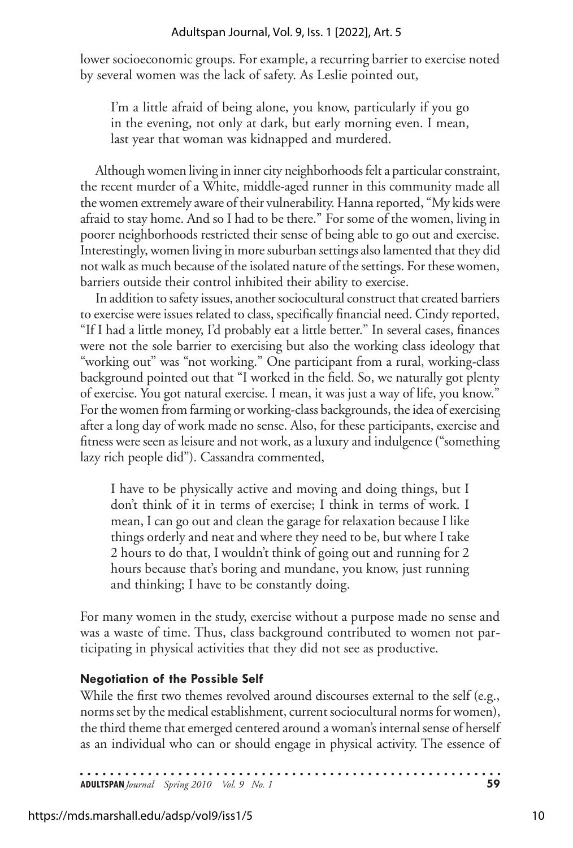lower socioeconomic groups. For example, a recurring barrier to exercise noted by several women was the lack of safety. As Leslie pointed out,

I'm a little afraid of being alone, you know, particularly if you go in the evening, not only at dark, but early morning even. I mean, last year that woman was kidnapped and murdered.

Although women living in inner city neighborhoods felt a particular constraint, the recent murder of a White, middle-aged runner in this community made all the women extremely aware of their vulnerability. Hanna reported, "My kids were afraid to stay home. And so I had to be there." For some of the women, living in poorer neighborhoods restricted their sense of being able to go out and exercise. Interestingly, women living in more suburban settings also lamented that they did not walk as much because of the isolated nature of the settings. For these women, barriers outside their control inhibited their ability to exercise.

In addition to safety issues, another sociocultural construct that created barriers to exercise were issues related to class, specifically financial need. Cindy reported, "If I had a little money, I'd probably eat a little better." In several cases, finances were not the sole barrier to exercising but also the working class ideology that "working out" was "not working." One participant from a rural, working-class background pointed out that "I worked in the field. So, we naturally got plenty of exercise. You got natural exercise. I mean, it was just a way of life, you know." For the women from farming or working-class backgrounds, the idea of exercising after a long day of work made no sense. Also, for these participants, exercise and fitness were seen as leisure and not work, as a luxury and indulgence ("something lazy rich people did"). Cassandra commented,

I have to be physically active and moving and doing things, but I don't think of it in terms of exercise; I think in terms of work. I mean, I can go out and clean the garage for relaxation because I like things orderly and neat and where they need to be, but where I take 2 hours to do that, I wouldn't think of going out and running for 2 hours because that's boring and mundane, you know, just running and thinking; I have to be constantly doing.

For many women in the study, exercise without a purpose made no sense and was a waste of time. Thus, class background contributed to women not participating in physical activities that they did not see as productive.

## **Negotiation of the Possible Self**

While the first two themes revolved around discourses external to the self (e.g., norms set by the medical establishment, current sociocultural norms for women), the third theme that emerged centered around a woman's internal sense of herself as an individual who can or should engage in physical activity. The essence of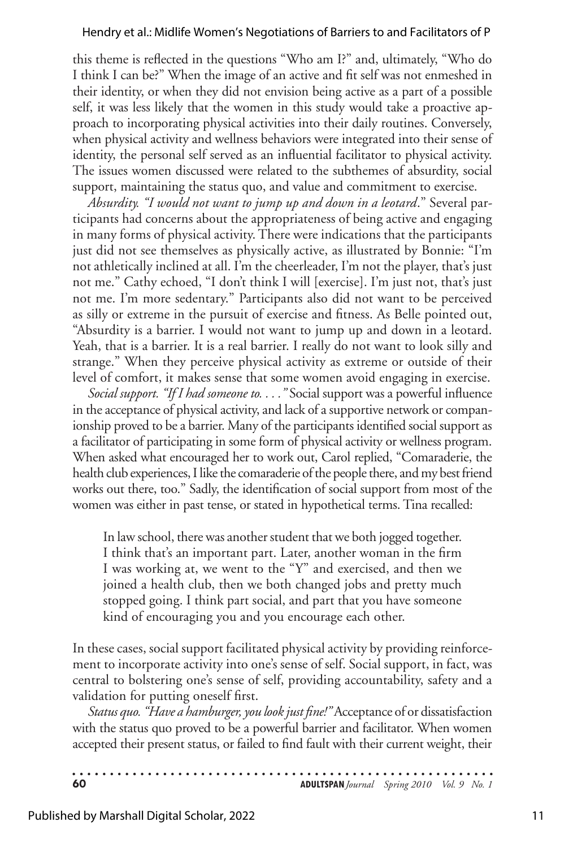this theme is reflected in the questions "Who am I?" and, ultimately, "Who do I think I can be?" When the image of an active and fit self was not enmeshed in their identity, or when they did not envision being active as a part of a possible self, it was less likely that the women in this study would take a proactive approach to incorporating physical activities into their daily routines. Conversely, when physical activity and wellness behaviors were integrated into their sense of identity, the personal self served as an influential facilitator to physical activity. The issues women discussed were related to the subthemes of absurdity, social support, maintaining the status quo, and value and commitment to exercise.

*Absurdity. "I would not want to jump up and down in a leotard*." Several participants had concerns about the appropriateness of being active and engaging in many forms of physical activity. There were indications that the participants just did not see themselves as physically active, as illustrated by Bonnie: "I'm not athletically inclined at all. I'm the cheerleader, I'm not the player, that's just not me." Cathy echoed, "I don't think I will [exercise]. I'm just not, that's just not me. I'm more sedentary." Participants also did not want to be perceived as silly or extreme in the pursuit of exercise and fitness. As Belle pointed out, "Absurdity is a barrier. I would not want to jump up and down in a leotard. Yeah, that is a barrier. It is a real barrier. I really do not want to look silly and strange." When they perceive physical activity as extreme or outside of their level of comfort, it makes sense that some women avoid engaging in exercise.

*Social support. "If I had someone to. . . ."* Social support was a powerful influence in the acceptance of physical activity, and lack of a supportive network or companionship proved to be a barrier. Many of the participants identified social support as a facilitator of participating in some form of physical activity or wellness program. When asked what encouraged her to work out, Carol replied, "Comaraderie, the health club experiences, I like the comaraderie of the people there, and my best friend works out there, too." Sadly, the identification of social support from most of the women was either in past tense, or stated in hypothetical terms. Tina recalled:

In law school, there was another student that we both jogged together. I think that's an important part. Later, another woman in the firm I was working at, we went to the "Y" and exercised, and then we joined a health club, then we both changed jobs and pretty much stopped going. I think part social, and part that you have someone kind of encouraging you and you encourage each other.

In these cases, social support facilitated physical activity by providing reinforcement to incorporate activity into one's sense of self. Social support, in fact, was central to bolstering one's sense of self, providing accountability, safety and a validation for putting oneself first.

*Status quo. "Have a hamburger, you look just fine!"* Acceptance of or dissatisfaction with the status quo proved to be a powerful barrier and facilitator. When women accepted their present status, or failed to find fault with their current weight, their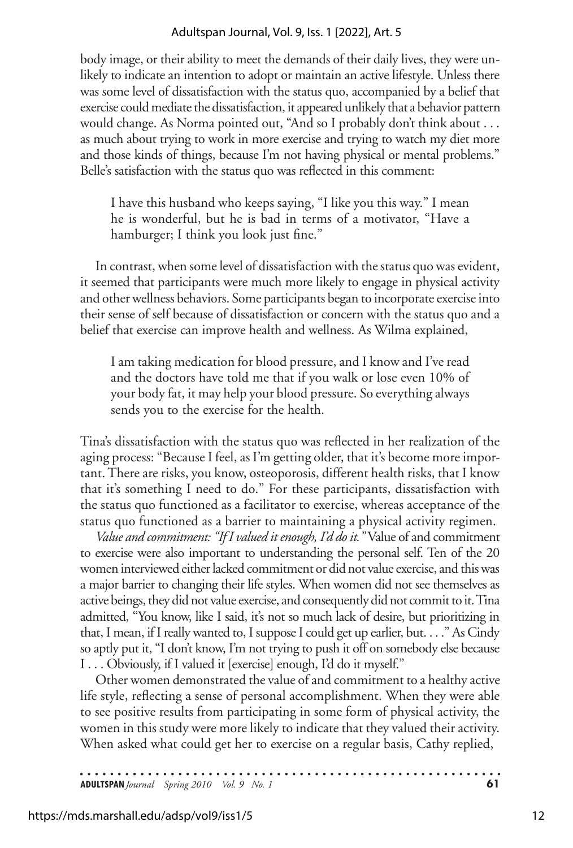body image, or their ability to meet the demands of their daily lives, they were unlikely to indicate an intention to adopt or maintain an active lifestyle. Unless there was some level of dissatisfaction with the status quo, accompanied by a belief that exercise could mediate the dissatisfaction, it appeared unlikely that a behavior pattern would change. As Norma pointed out, "And so I probably don't think about . . . as much about trying to work in more exercise and trying to watch my diet more and those kinds of things, because I'm not having physical or mental problems." Belle's satisfaction with the status quo was reflected in this comment:

I have this husband who keeps saying, "I like you this way." I mean he is wonderful, but he is bad in terms of a motivator, "Have a hamburger; I think you look just fine."

In contrast, when some level of dissatisfaction with the status quo was evident, it seemed that participants were much more likely to engage in physical activity and other wellness behaviors. Some participants began to incorporate exercise into their sense of self because of dissatisfaction or concern with the status quo and a belief that exercise can improve health and wellness. As Wilma explained,

I am taking medication for blood pressure, and I know and I've read and the doctors have told me that if you walk or lose even 10% of your body fat, it may help your blood pressure. So everything always sends you to the exercise for the health.

Tina's dissatisfaction with the status quo was reflected in her realization of the aging process: "Because I feel, as I'm getting older, that it's become more important. There are risks, you know, osteoporosis, different health risks, that I know that it's something I need to do." For these participants, dissatisfaction with the status quo functioned as a facilitator to exercise, whereas acceptance of the status quo functioned as a barrier to maintaining a physical activity regimen.

*Value and commitment: "If I valued it enough, I'd do it."* Value of and commitment to exercise were also important to understanding the personal self. Ten of the 20 women interviewed either lacked commitment or did not value exercise, and this was a major barrier to changing their life styles. When women did not see themselves as active beings, they did not value exercise, and consequently did not commit to it. Tina admitted, "You know, like I said, it's not so much lack of desire, but prioritizing in that, I mean, if I really wanted to, I suppose I could get up earlier, but. . . ." As Cindy so aptly put it, "I don't know, I'm not trying to push it off on somebody else because I . . . Obviously, if I valued it [exercise] enough, I'd do it myself."

Other women demonstrated the value of and commitment to a healthy active life style, reflecting a sense of personal accomplishment. When they were able to see positive results from participating in some form of physical activity, the women in this study were more likely to indicate that they valued their activity. When asked what could get her to exercise on a regular basis, Cathy replied,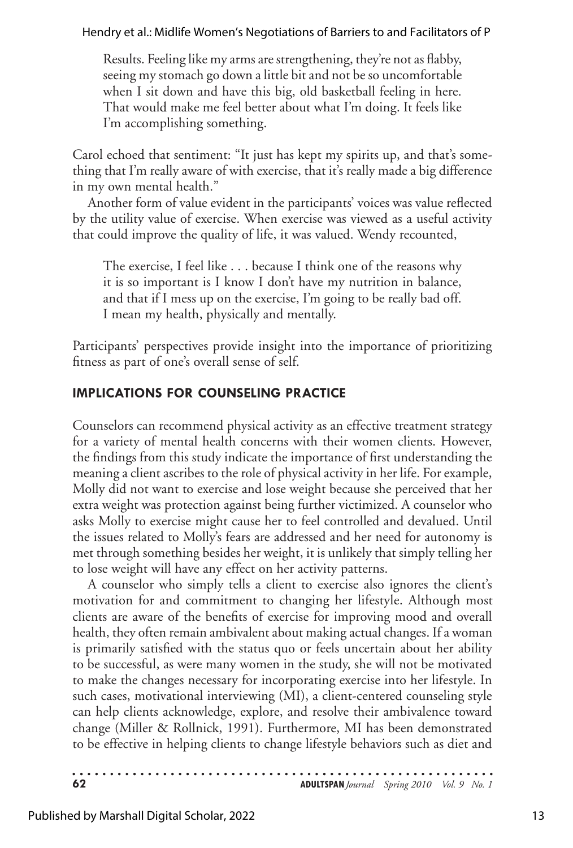Results. Feeling like my arms are strengthening, they're not as flabby, seeing my stomach go down a little bit and not be so uncomfortable when I sit down and have this big, old basketball feeling in here. That would make me feel better about what I'm doing. It feels like I'm accomplishing something.

Carol echoed that sentiment: "It just has kept my spirits up, and that's something that I'm really aware of with exercise, that it's really made a big difference in my own mental health."

Another form of value evident in the participants' voices was value reflected by the utility value of exercise. When exercise was viewed as a useful activity that could improve the quality of life, it was valued. Wendy recounted,

The exercise, I feel like . . . because I think one of the reasons why it is so important is I know I don't have my nutrition in balance, and that if I mess up on the exercise, I'm going to be really bad off. I mean my health, physically and mentally.

Participants' perspectives provide insight into the importance of prioritizing fitness as part of one's overall sense of self.

## **IMPLICATIONS FOR COUNSELING PRACTICE**

Counselors can recommend physical activity as an effective treatment strategy for a variety of mental health concerns with their women clients. However, the findings from this study indicate the importance of first understanding the meaning a client ascribes to the role of physical activity in her life. For example, Molly did not want to exercise and lose weight because she perceived that her extra weight was protection against being further victimized. A counselor who asks Molly to exercise might cause her to feel controlled and devalued. Until the issues related to Molly's fears are addressed and her need for autonomy is met through something besides her weight, it is unlikely that simply telling her to lose weight will have any effect on her activity patterns.

A counselor who simply tells a client to exercise also ignores the client's motivation for and commitment to changing her lifestyle. Although most clients are aware of the benefits of exercise for improving mood and overall health, they often remain ambivalent about making actual changes. If a woman is primarily satisfied with the status quo or feels uncertain about her ability to be successful, as were many women in the study, she will not be motivated to make the changes necessary for incorporating exercise into her lifestyle. In such cases, motivational interviewing (MI), a client-centered counseling style can help clients acknowledge, explore, and resolve their ambivalence toward change (Miller & Rollnick, 1991). Furthermore, MI has been demonstrated to be effective in helping clients to change lifestyle behaviors such as diet and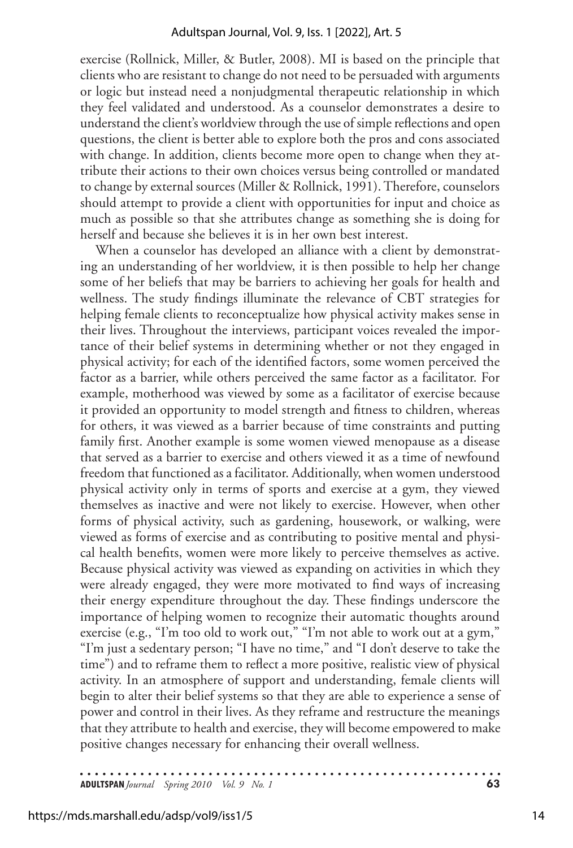exercise (Rollnick, Miller, & Butler, 2008). MI is based on the principle that clients who are resistant to change do not need to be persuaded with arguments or logic but instead need a nonjudgmental therapeutic relationship in which they feel validated and understood. As a counselor demonstrates a desire to understand the client's worldview through the use of simple reflections and open questions, the client is better able to explore both the pros and cons associated with change. In addition, clients become more open to change when they attribute their actions to their own choices versus being controlled or mandated to change by external sources (Miller & Rollnick, 1991). Therefore, counselors should attempt to provide a client with opportunities for input and choice as much as possible so that she attributes change as something she is doing for herself and because she believes it is in her own best interest.

When a counselor has developed an alliance with a client by demonstrating an understanding of her worldview, it is then possible to help her change some of her beliefs that may be barriers to achieving her goals for health and wellness. The study findings illuminate the relevance of CBT strategies for helping female clients to reconceptualize how physical activity makes sense in their lives. Throughout the interviews, participant voices revealed the importance of their belief systems in determining whether or not they engaged in physical activity; for each of the identified factors, some women perceived the factor as a barrier, while others perceived the same factor as a facilitator. For example, motherhood was viewed by some as a facilitator of exercise because it provided an opportunity to model strength and fitness to children, whereas for others, it was viewed as a barrier because of time constraints and putting family first. Another example is some women viewed menopause as a disease that served as a barrier to exercise and others viewed it as a time of newfound freedom that functioned as a facilitator. Additionally, when women understood physical activity only in terms of sports and exercise at a gym, they viewed themselves as inactive and were not likely to exercise. However, when other forms of physical activity, such as gardening, housework, or walking, were viewed as forms of exercise and as contributing to positive mental and physical health benefits, women were more likely to perceive themselves as active. Because physical activity was viewed as expanding on activities in which they were already engaged, they were more motivated to find ways of increasing their energy expenditure throughout the day. These findings underscore the importance of helping women to recognize their automatic thoughts around exercise (e.g., "I'm too old to work out," "I'm not able to work out at a gym," "I'm just a sedentary person; "I have no time," and "I don't deserve to take the time") and to reframe them to reflect a more positive, realistic view of physical activity. In an atmosphere of support and understanding, female clients will begin to alter their belief systems so that they are able to experience a sense of power and control in their lives. As they reframe and restructure the meanings that they attribute to health and exercise, they will become empowered to make positive changes necessary for enhancing their overall wellness.